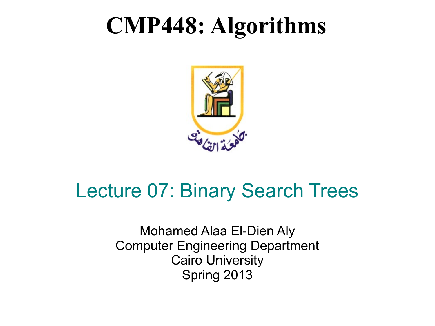### **CMP448: Algorithms**



### Lecture 07: Binary Search Trees

Mohamed Alaa El-Dien Aly Computer Engineering Department Cairo University Spring 2013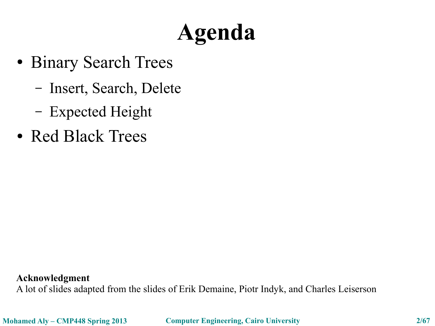## **Agenda**

- Binary Search Trees
	- Insert, Search, Delete
	- Expected Height
- Red Black Trees

**Acknowledgment**

A lot of slides adapted from the slides of Erik Demaine, Piotr Indyk, and Charles Leiserson

**Mohamed Aly – CMP448 Spring 2013 Computer Engineering, Cairo University 2/67**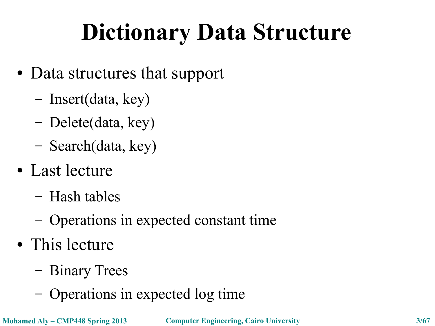## **Dictionary Data Structure**

- Data structures that support
	- Insert(data, key)
	- Delete(data, key)
	- Search(data, key)
- Last lecture
	- Hash tables
	- Operations in expected constant time
- This lecture
	- Binary Trees
	- Operations in expected log time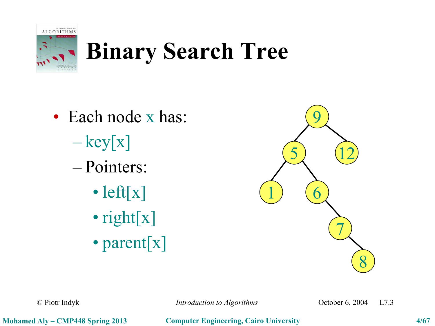

### **Binary Search Tree**

- Each node x has:
	- $-\text{key}[x]$
	- Pointers:
		- left[x]
		- right[x]
		- parent[x]



© Piotr Indyk *Introduction to Algorithms* October 6, 2004 L7.3

**Mohamed Aly – CMP448 Spring 2013 Computer Engineering, Cairo University 4/67**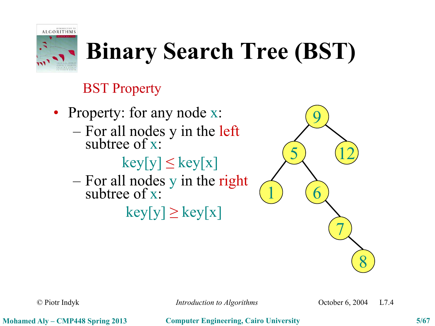

## **Binary Search Tree (BST)**

#### BST Property

- Property: for any node x:
	- For all nodes y in the left subtree of x:

 $key[y] \leq key[x]$ 

– For all nodes y in the right subtree of x:

 $key[y] \geq key[x]$ 



© Piotr Indyk *Introduction to Algorithms* October 6, 2004 L7.4

**Mohamed Aly – CMP448 Spring 2013 Computer Engineering, Cairo University 5/67**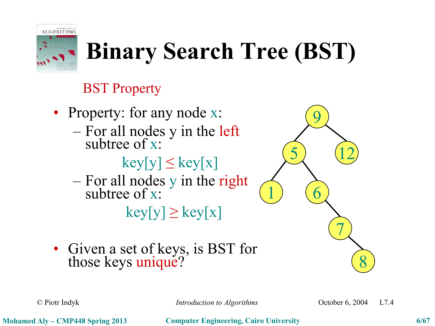

## **Binary Search Tree (BST)**

### BST Property

- Property: for any node x:
	- For all nodes y in the left subtree of x:

 $key[y] \leq key[x]$ 

– For all nodes y in the right subtree of x:

 $key[y] \geq key[x]$ 

• Given a set of keys, is BST for those keys unique?



© Piotr Indyk *Introduction to Algorithms* October 6, 2004 L7.4

8

7

9

 $\begin{pmatrix} 5 \end{pmatrix}$   $(12)$ 

 $\left( \begin{matrix} 1 \end{matrix} \right)$   $\left( \begin{matrix} 6 \end{matrix} \right)$ 

**Mohamed Aly – CMP448 Spring 2013 Computer Engineering, Cairo University 6/67**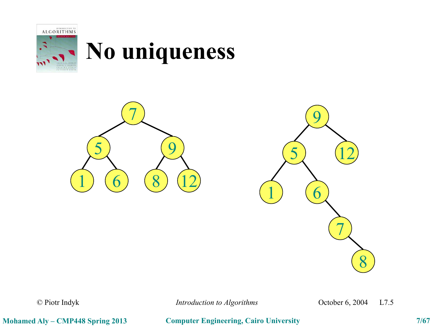

### **No uniqueness**





© Piotr Indyk *Introduction to Algorithms* October 6, 2004 L7.5

**Mohamed Aly – CMP448 Spring 2013 Computer Engineering, Cairo University 7/67**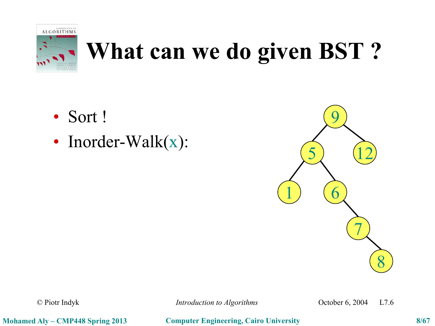

### **What can we do given BST ?**

- Sort !
- Inorder-Walk(x):



© Piotr Indyk *Introduction to Algorithms* October 6, 2004 L7.6

**Mohamed Aly – CMP448 Spring 2013 Computer Engineering, Cairo University 8/67**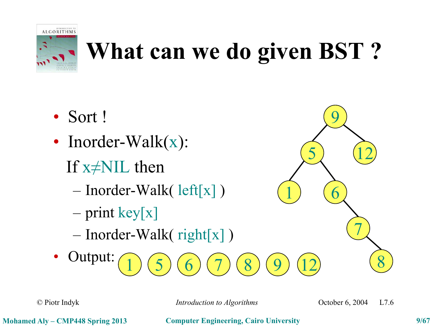

### **What can we do given BST ?**

- Sort !
- Inorder-Walk(x):
	- If  $x \neq$ NIL then
		- Inorder-Walk( left[x] )
		- $-$  print key[x]
		- Inorder-Walk( right[x] )
- Output:  $1) (5) (6) (7) (8)$  $(9)$   $(12)$   $(8)$

© Piotr Indyk *Introduction to Algorithms* October 6, 2004 L7.6

7

9

 $\begin{pmatrix} 5 \end{pmatrix}$   $(12)$ 

 $\left( \begin{matrix} 1 \end{matrix} \right)$   $\left( \begin{matrix} 6 \end{matrix} \right)$ 

**Mohamed Aly – CMP448 Spring 2013 Computer Engineering, Cairo University 9/67**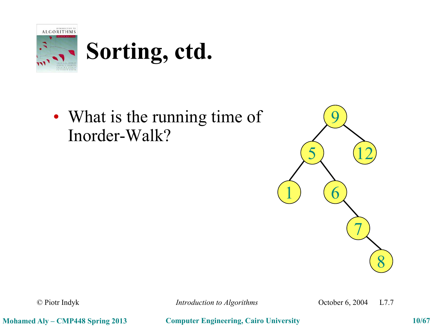

• What is the running time of Inorder-Walk?



© Piotr Indyk *Introduction to Algorithms* October 6, 2004 L7.7

**Mohamed Aly – CMP448 Spring 2013 Computer Engineering, Cairo University 10/67**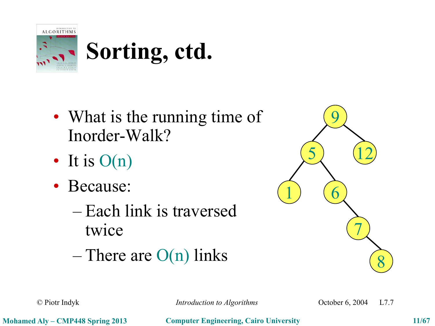

- What is the running time of Inorder-Walk?
- It is  $O(n)$
- Because:
	- Each link is traversed twice
	- $-$  There are  $O(n)$  links



© Piotr Indyk *Introduction to Algorithms* October 6, 2004 L7.7

**Mohamed Aly – CMP448 Spring 2013 Computer Engineering, Cairo University 11/67**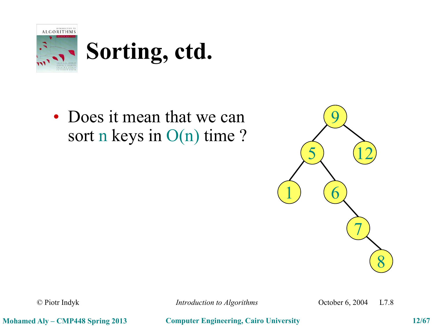

• Does it mean that we can sort n keys in O(n) time ?



© Piotr Indyk *Introduction to Algorithms* October 6, 2004 L7.8

**Mohamed Aly – CMP448 Spring 2013 Computer Engineering, Cairo University 12/67**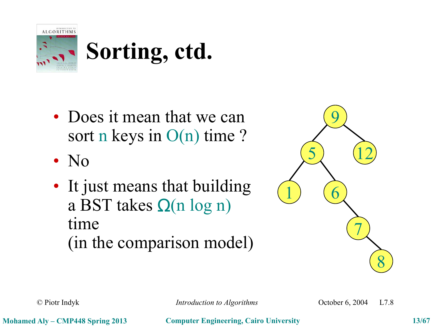

- Does it mean that we can sort n keys in O(n) time ?
- No
- It just means that building a BST takes  $\Omega(n \log n)$ time (in the comparison model)



© Piotr Indyk *Introduction to Algorithms* October 6, 2004 L7.8

**Mohamed Aly – CMP448 Spring 2013 Computer Engineering, Cairo University 13/67**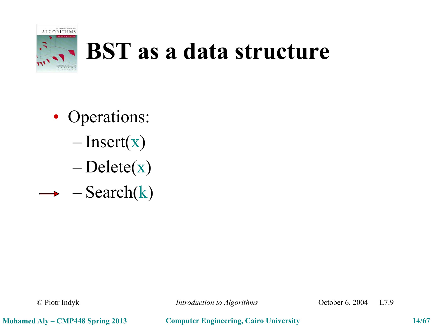

### **BST as a data structure**

- Operations:
	- $-$ Insert(x)
	- $-\text{Delete}(x)$
- $\rightarrow -\text{Search}(k)$

© Piotr Indyk *Introduction to Algorithms* October 6, 2004 L7.9

**Mohamed Aly – CMP448 Spring 2013 Computer Engineering, Cairo University 14/67**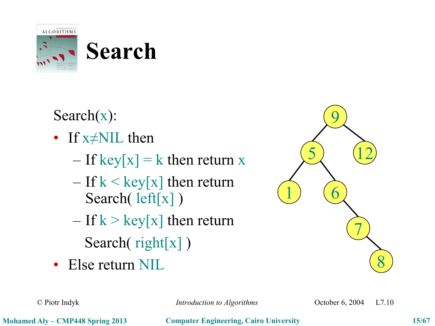

## **Search**

Search(x):

- If x≠NIL then
	- $-$  If key[x] = k then return x
	- $-$  If  $k <$  key[x] then return Search( left[x] )
	- $-$  If  $k >$  key[x] then return Search( right[x])
- Else return NIL



© Piotr Indyk *Introduction to Algorithms* October 6, 2004 L7.10

**Mohamed Aly – CMP448 Spring 2013 Computer Engineering, Cairo University 15/67**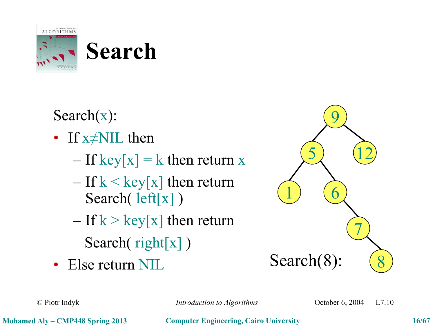

## **Search**

Search(x):

- If x≠NIL then
	- $-$  If key[x] = k then return x
	- $-$  If  $k <$  key[x] then return Search( left[x])
	- $-$  If  $k >$  key[x] then return Search( right[x])
- Else return NIL



© Piotr Indyk *Introduction to Algorithms* October 6, 2004 L7.10

**Mohamed Aly – CMP448 Spring 2013 Computer Engineering, Cairo University 16/67**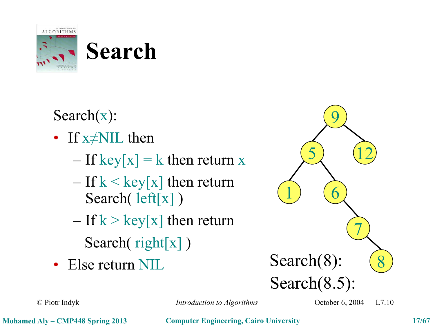

## **Search**

Search(x):

- If x≠NIL then
	- $-$  If key[x] = k then return x
	- $-$  If  $k <$  key[x] then return Search( left[x])
	- $-$  If  $k >$  key[x] then return Search( right[x])
- Else return NIL



© Piotr Indyk *Introduction to Algorithms* October 6, 2004 L7.10

**Mohamed Aly – CMP448 Spring 2013 Computer Engineering, Cairo University 17/67**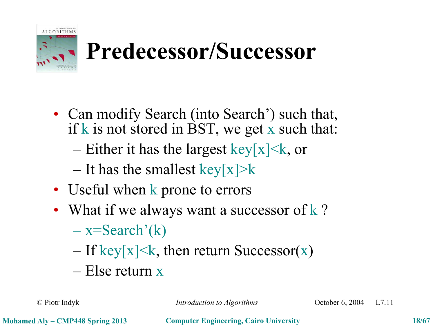

## **Predecessor/Successor**

- Can modify Search (into Search') such that, if k is not stored in BST, we get  $x$  such that:
	- Either it has the largest key[x] $\leq$ k, or
	- It has the smallest key[x]>k
- Useful when k prone to errors
- What if we always want a successor of  $k$  ?
	- $-$  x=Search'(k)
	- $-$  If key[x] $\leq$ k, then return Successor(x)
	- Else return x

© Piotr Indyk *Introduction to Algorithms* October 6, 2004 L7.11

**Mohamed Aly – CMP448 Spring 2013 Computer Engineering, Cairo University 18/67**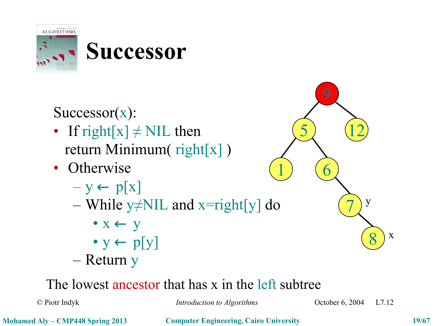

Successor(x):

- If right[x]  $\neq$  NIL then return Minimum( right[x] )
- Otherwise
	- $y \leftarrow p[x]$
	- While y≠NIL and x=right[y] do
		- $\bullet x \leftarrow y$
		- $y \leftarrow p[y]$
	- Return y

### The lowest ancestor that has x in the left subtree

© Piotr Indyk *Introduction to Algorithms* October 6, 2004 L7.12

8

x

y

7

 $\begin{pmatrix} 5 \end{pmatrix}$   $(12)$ 

 $\left( \begin{matrix} 1 \end{matrix} \right)$   $\left( \begin{matrix} 6 \end{matrix} \right)$ 

**Mohamed Aly – CMP448 Spring 2013 Computer Engineering, Cairo University 19/67**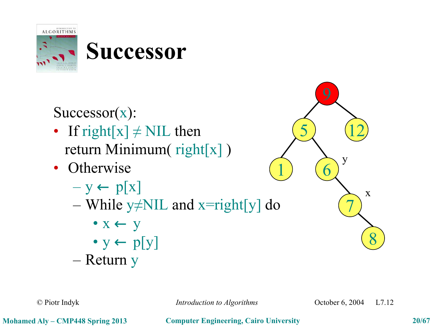

Successor(x):

- If right[x]  $\neq$  NIL then return Minimum( right[x] )
- Otherwise
	- $y \leftarrow p[x]$
	- While y≠NIL and x=right[y] do
		- $\bullet x \leftarrow y$
		- $y \leftarrow p[y]$
	- Return y

 $\begin{pmatrix} 5 \end{pmatrix}$   $(12)$  $\left( \begin{matrix} 1 \end{matrix} \right)$   $\left( \begin{matrix} 6 \end{matrix} \right)$ 7 8 y x

© Piotr Indyk *Introduction to Algorithms* October 6, 2004 L7.12

**Mohamed Aly – CMP448 Spring 2013 Computer Engineering, Cairo University 20/67**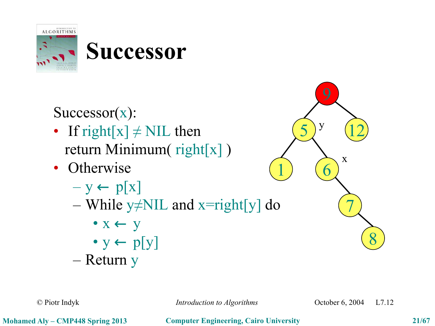

Successor(x):

- If right[x]  $\neq$  NIL then return Minimum( right[x] )
- Otherwise
	- $y \leftarrow p[x]$
	- While y≠NIL and x=right[y] do
		- $\bullet x \leftarrow y$
		- $y \leftarrow p[y]$
	- Return y

 $(12)$ <sup>y</sup>  $\left( \begin{matrix} 1 \end{matrix} \right)$   $\left( \begin{matrix} 6 \end{matrix} \right)$ 7 8 y x

© Piotr Indyk *Introduction to Algorithms* October 6, 2004 L7.12

**Mohamed Aly – CMP448 Spring 2013 Computer Engineering, Cairo University 21/67**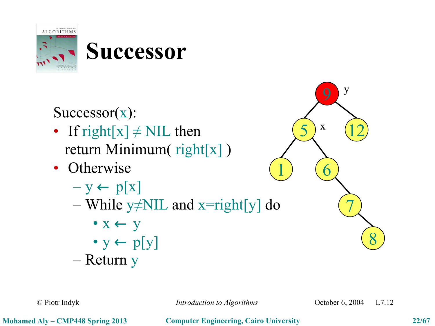

Successor(x):

- If right[x]  $\neq$  NIL then return Minimum( right[x] )
- Otherwise
	- $y \leftarrow p[x]$
	- While y≠NIL and x=right[y] do
		- $\bullet x \leftarrow y$
		- $y \leftarrow p[y]$
	- Return y

 $(12)$ <sup>x</sup>  $\left( \begin{matrix} 1 \end{matrix} \right)$   $\left( \begin{matrix} 6 \end{matrix} \right)$ 7 8 y x

© Piotr Indyk *Introduction to Algorithms* October 6, 2004 L7.12

**Mohamed Aly – CMP448 Spring 2013 Computer Engineering, Cairo University 22/67**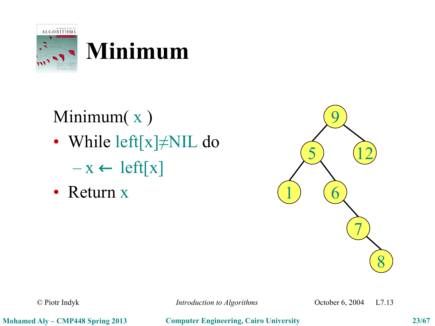



### Minimum(x) • While left[x]≠NIL do  $- x \leftarrow left[x]$

• Return x



© Piotr Indyk *Introduction to Algorithms* October 6, 2004 L7.13

**Mohamed Aly – CMP448 Spring 2013 Computer Engineering, Cairo University 23/67**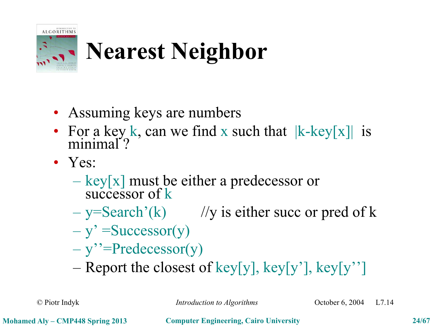

## **Nearest Neighbor**

- Assuming keys are numbers
- For a key k, can we find x such that  $|k-\text{key}[x]|$  is minimal<sup>7</sup>?
- Yes:
	- $-$  key[x] must be either a predecessor or successor of k
	- $-$  y=Search'(k) //y is either succ or pred of k
	- $y' = Successor(y)$
	- $-$  y''=Predecessor(y)
	- Report the closest of key[y], key[y'], key[y'']

© Piotr Indyk *Introduction to Algorithms* October 6, 2004 L7.14

**Mohamed Aly – CMP448 Spring 2013 Computer Engineering, Cairo University 24/67**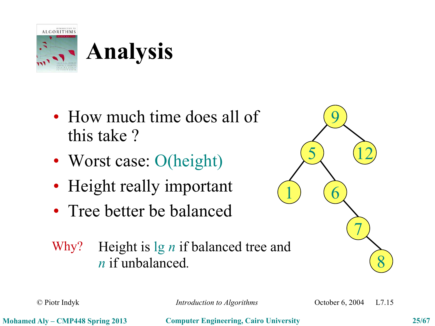

- How much time does all of this take ?
- Worst case: O(height)
- Height really important
- Tree better be balanced





© Piotr Indyk *Introduction to Algorithms* October 6, 2004 L7.15

**Mohamed Aly – CMP448 Spring 2013 Computer Engineering, Cairo University 25/67**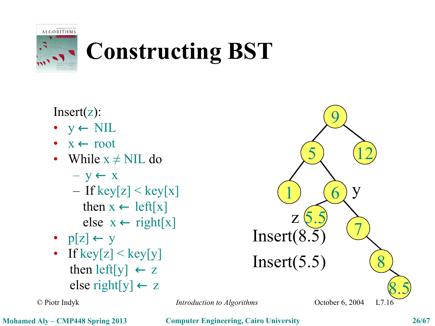

## **Constructing BST**

Insert(z):

- $y \leftarrow \text{NIL}$
- $x \leftarrow root$
- While  $x \neq$  NIL do
	- $y \leftarrow x$
	- If key $[z] <$ key $[x]$ then  $x \leftarrow left[x]$ else  $x \leftarrow right[x]$
- $p[z] \leftarrow y$
- If key[z]  $\leq$  key[y] then left[y]  $\leftarrow$  z else right $[y] \leftarrow z$

© Piotr Indyk *Introduction to Algorithms*



**Mohamed Aly – CMP448 Spring 2013 Computer Engineering, Cairo University 26/67**

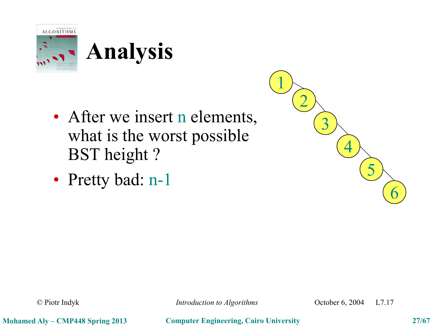



• Pretty bad: n-1



© Piotr Indyk *Introduction to Algorithms* October 6, 2004 L7.17

**Mohamed Aly – CMP448 Spring 2013 Computer Engineering, Cairo University 27/67**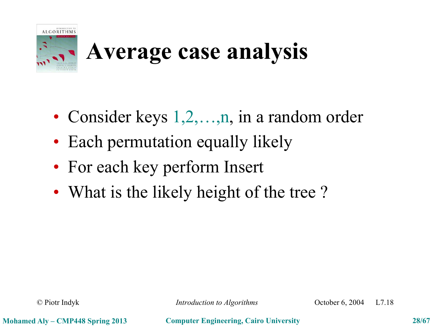

### **Average case analysis**

- Consider keys 1,2,...,n, in a random order
- Each permutation equally likely
- For each key perform Insert
- What is the likely height of the tree?

© Piotr Indyk *Introduction to Algorithms* October 6, 2004 L7.18

**Mohamed Aly – CMP448 Spring 2013 Computer Engineering, Cairo University 28/67**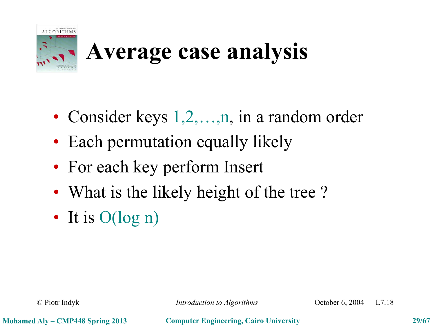

### **Average case analysis**

- Consider keys 1,2,...,n, in a random order
- Each permutation equally likely
- For each key perform Insert
- What is the likely height of the tree?
- It is  $O(log n)$

© Piotr Indyk *Introduction to Algorithms* October 6, 2004 L7.18

**Mohamed Aly – CMP448 Spring 2013 Computer Engineering, Cairo University 29/67**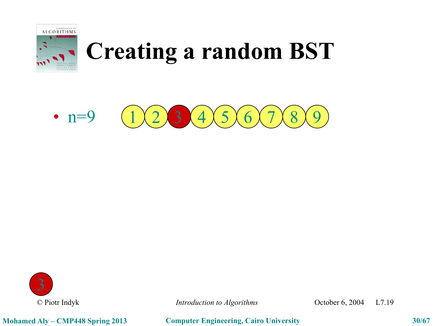





© Piotr Indyk *Introduction to Algorithms* October 6, 2004 L7.19

**Mohamed Aly – CMP448 Spring 2013 Computer Engineering, Cairo University 30/67**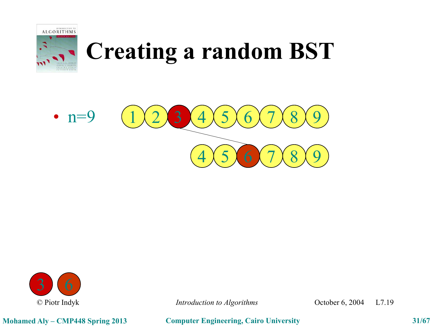





© Piotr Indyk *Introduction to Algorithms* October 6, 2004 L7.19

**Mohamed Aly – CMP448 Spring 2013 Computer Engineering, Cairo University 31/67**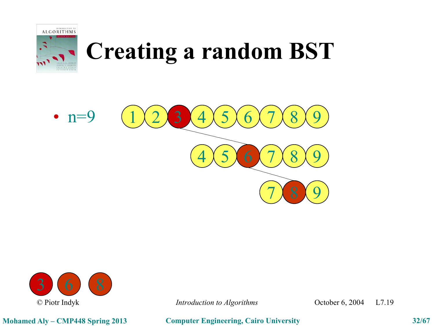





**Mohamed Aly – CMP448 Spring 2013 Computer Engineering, Cairo University 32/67**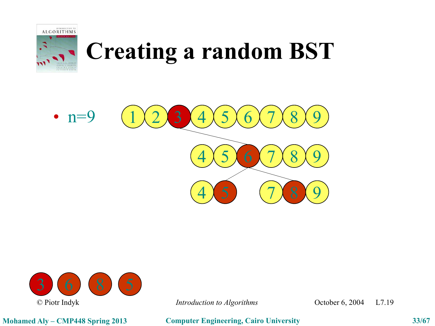





**Mohamed Aly – CMP448 Spring 2013 Computer Engineering, Cairo University 33/67**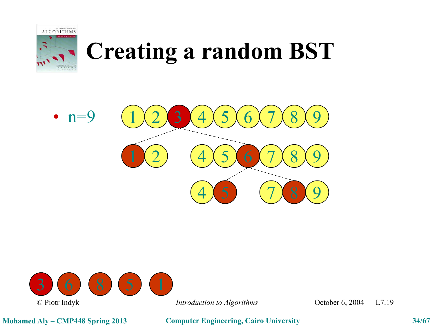





**Mohamed Aly – CMP448 Spring 2013 Computer Engineering, Cairo University 34/67**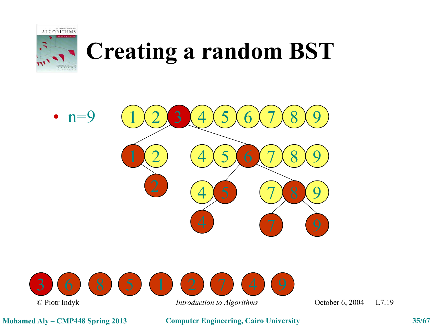





**Mohamed Aly – CMP448 Spring 2013 Computer Engineering, Cairo University 35/67**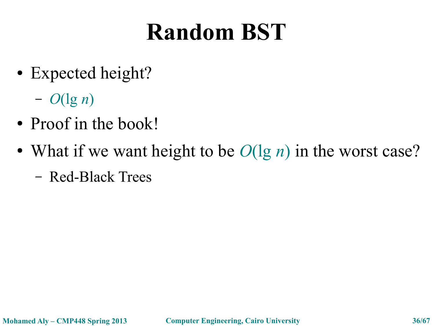### **Random BST**

- Expected height?
	- *O*(lg *n*)
- Proof in the book!
- What if we want height to be  $O(\lg n)$  in the worst case?
	- Red-Black Trees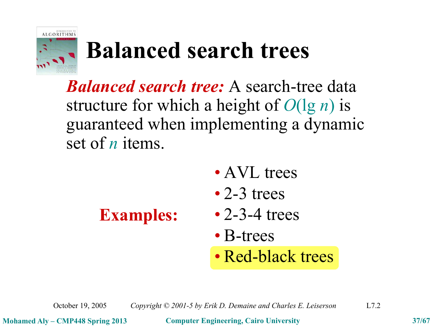

### **Balanced search trees**

*Balanced search tree:* A search-tree data structure for which a height of *O*(lg *n*) is guaranteed when implementing a dynamic set of *n* items.

- AVL trees
- 2-3 trees

- **Examples:** 2-3-4 trees
	- B-trees
	- Red-black trees

October 19, 2005 *Copyright © 2001-5 by Erik D. Demaine and Charles E. Leiserson* L7.2

**Mohamed Aly – CMP448 Spring 2013 Computer Engineering, Cairo University 37/67**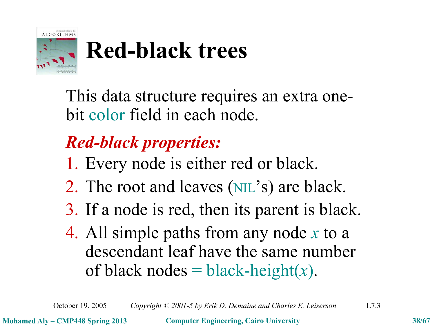

## **Red-black trees**

This data structure requires an extra onebit color field in each node.

### *Red-black properties:*

- 1. Every node is either red or black.
- 2. The root and leaves (NIL's) are black.
- 3. If a node is red, then its parent is black.
- 4. All simple paths from any node *x* to a descendant leaf have the same number of black nodes  $=$  black-height(x).

October 19, 2005 *Copyright © 2001-5 by Erik D. Demaine and Charles E. Leiserson* L7.3

**Mohamed Aly – CMP448 Spring 2013 Computer Engineering, Cairo University 38/67**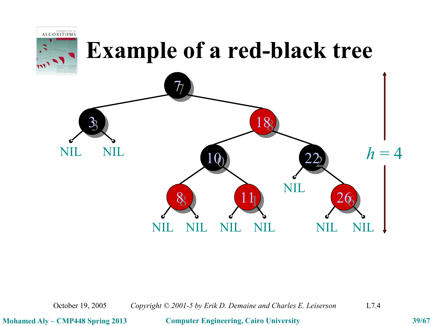

October 19, 2005 *Copyright © 2001-5 by Erik D. Demaine and Charles E. Leiserson* L7.4

**Mohamed Aly – CMP448 Spring 2013 Computer Engineering, Cairo University 39/67**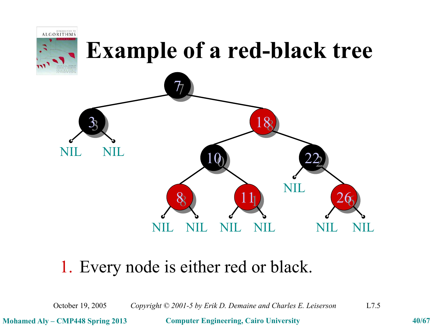

### 1. Every node is either red or black.

October 19, 2005 *Copyright © 2001-5 by Erik D. Demaine and Charles E. Leiserson* L7.5

**Mohamed Aly – CMP448 Spring 2013 Computer Engineering, Cairo University 40/67**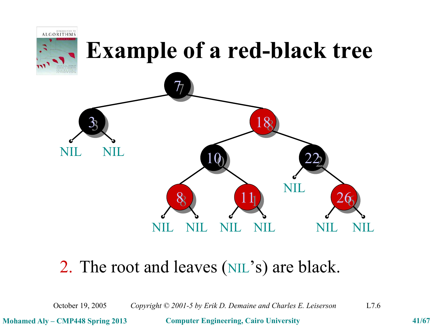

### 2. The root and leaves (NIL's) are black.

October 19, 2005 *Copyright © 2001-5 by Erik D. Demaine and Charles E. Leiserson* L7.6

**Mohamed Aly – CMP448 Spring 2013 Computer Engineering, Cairo University 41/67**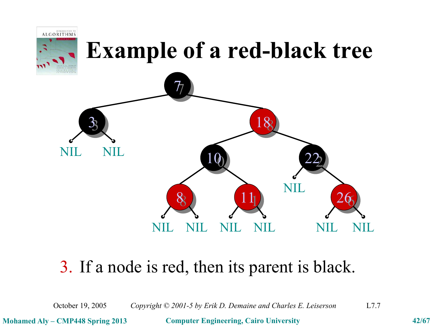

### 3. If a node is red, then its parent is black.

October 19, 2005 *Copyright © 2001-5 by Erik D. Demaine and Charles E. Leiserson* L7.7

**Mohamed Aly – CMP448 Spring 2013 Computer Engineering, Cairo University 42/67**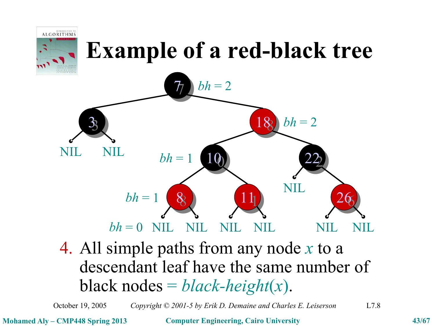

**Mohamed Aly – CMP448 Spring 2013 Computer Engineering, Cairo University 43/67**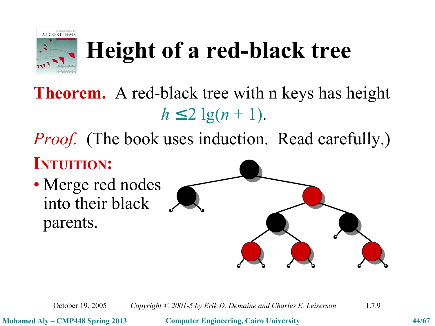

**Theorem.** A red-black tree with n keys has height  $h \leq 2 \lg(n+1)$ .

*Proof.* (The book uses induction. Read carefully.)

### **INTUITION:**

• Merge red nodes into their black parents.



October 19, 2005 *Copyright © 2001-5 by Erik D. Demaine and Charles E. Leiserson* L7.9

**Mohamed Aly – CMP448 Spring 2013 Computer Engineering, Cairo University 44/67**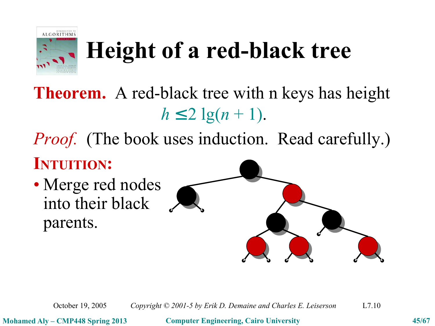

**Theorem.** A red-black tree with n keys has height  $h \leq 2 \lg(n+1)$ .

*Proof.* (The book uses induction. Read carefully.)

### **INTUITION:**

• Merge red nodes into their black parents.



October 19, 2005 *Copyright © 2001-5 by Erik D. Demaine and Charles E. Leiserson* L7.10

**Mohamed Aly – CMP448 Spring 2013 Computer Engineering, Cairo University 45/67**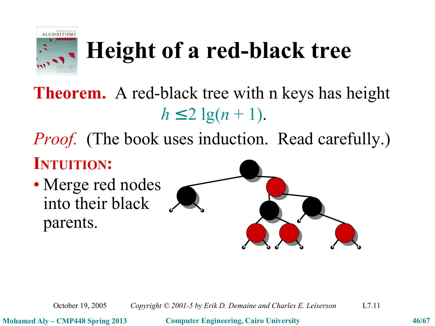

**Theorem.** A red-black tree with n keys has height  $h \leq 2 \lg(n+1)$ .

*Proof.* (The book uses induction. Read carefully.)

### **INTUITION:**

• Merge red nodes into their black parents.



October 19, 2005 *Copyright © 2001-5 by Erik D. Demaine and Charles E. Leiserson* L7.11

**Mohamed Aly – CMP448 Spring 2013 Computer Engineering, Cairo University 46/67**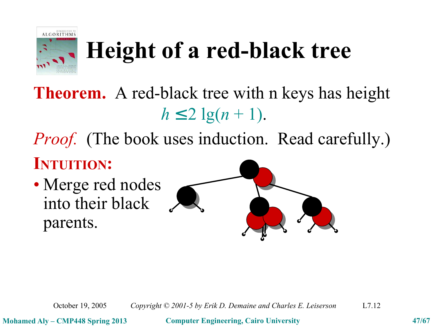

**Theorem.** A red-black tree with n keys has height  $h \leq 2 \lg(n+1)$ .

*Proof.* (The book uses induction. Read carefully.)

### **INTUITION:**

• Merge red nodes into their black parents.



October 19, 2005 *Copyright © 2001-5 by Erik D. Demaine and Charles E. Leiserson* L7.12

**Mohamed Aly – CMP448 Spring 2013 Computer Engineering, Cairo University 47/67**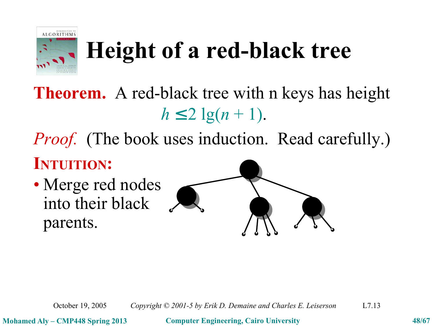

**Theorem.** A red-black tree with n keys has height  $h \leq 2 \lg(n+1)$ .

*Proof.* (The book uses induction. Read carefully.)

### **INTUITION:**

• Merge red nodes into their black parents.



October 19, 2005 *Copyright © 2001-5 by Erik D. Demaine and Charles E. Leiserson* L7.13

**Mohamed Aly – CMP448 Spring 2013 Computer Engineering, Cairo University 48/67**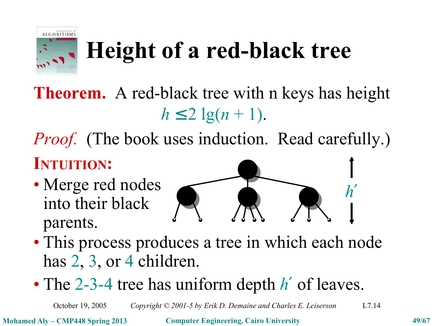

**Theorem.** A red-black tree with n keys has height  $h \leq 2 \lg(n+1)$ .

*Proof.* (The book uses induction. Read carefully.)

### **INTUITION:**

• Merge red nodes into their black parents.



- This process produces a tree in which each node has 2, 3, or 4 children.
- The 2-3-4 tree has uniform depth *h*′ of leaves.

October 19, 2005 *Copyright © 2001-5 by Erik D. Demaine and Charles E. Leiserson* L7.14

**Mohamed Aly – CMP448 Spring 2013 Computer Engineering, Cairo University 49/67**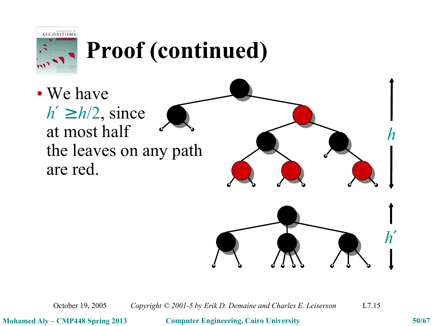

## **Proof (continued)**

• We have  $h' \ge h/2$ , since at most half the leaves on any path are red.



October 19, 2005 *Copyright © 2001-5 by Erik D. Demaine and Charles E. Leiserson* L7.15

**Mohamed Aly – CMP448 Spring 2013 Computer Engineering, Cairo University 50/67**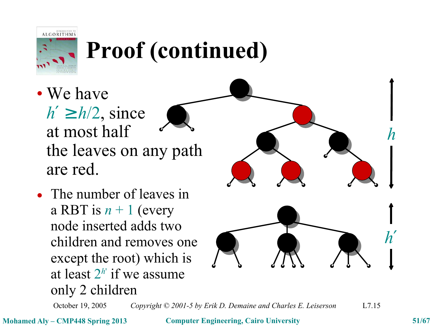

## **Proof (continued)**

- We have  $h' \ge h/2$ , since at most half the leaves on any path are red.
- The number of leaves The number of leaves in a RBT is  $n + 1$  (every noue inseried *h'* node inserted adds two except the root) which is at least  $2^{h}$  if we assume children and removes one only 2 children



October 19, 2005 *Copyright © 2001-5 by Erik D. Demaine and Charles E. Leiserson* L7.15

**Mohamed Aly – CMP448 Spring 2013 Computer Engineering, Cairo University 51/67**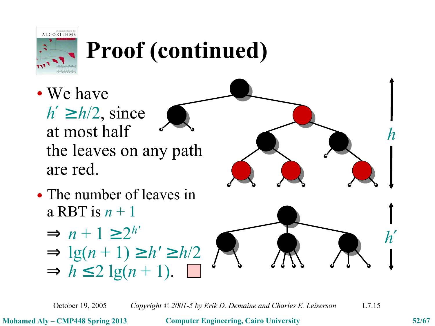

## **Proof (continued)**

- We have  $h' \ge h/2$ , since at most half the leaves on any path are red.
- The number of leaves The number of leaves in a RBT is  $n + 1$ 
	- $\Rightarrow$  *n* + 1  $\geq$  2<sup>*h'*</sup>  $\Rightarrow$  lg(n + 1)  $\geq h' \geq h/2$  $\Rightarrow h \leq 2$  lg(n + 1).  $\Box$





October 19, 2005 *Copyright © 2001-5 by Erik D. Demaine and Charles E. Leiserson* L7.15

**Mohamed Aly – CMP448 Spring 2013 Computer Engineering, Cairo University 52/67**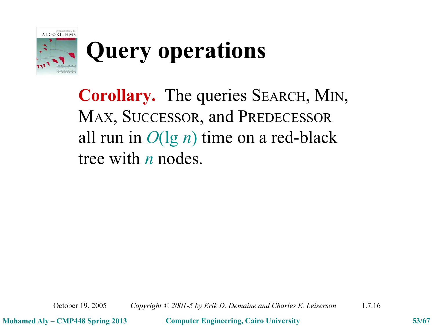

## **Query operations**

**Corollary.** The queries SEARCH, MIN, MAX, SUCCESSOR, and PREDECESSOR all run in *O*(lg *n*) time on a red-black tree with *n* nodes.

October 19, 2005 *Copyright © 2001-5 by Erik D. Demaine and Charles E. Leiserson* L7.16

**Mohamed Aly – CMP448 Spring 2013 Computer Engineering, Cairo University 53/67**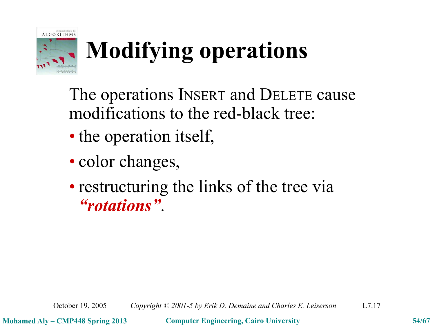

# **Modifying operations**

The operations INSERT and DELETE cause modifications to the red-black tree:

- the operation itself,
- color changes,
- restructuring the links of the tree via *"rotations"*.

October 19, 2005 *Copyright © 2001-5 by Erik D. Demaine and Charles E. Leiserson* L7.17

**Mohamed Aly – CMP448 Spring 2013 Computer Engineering, Cairo University 54/67**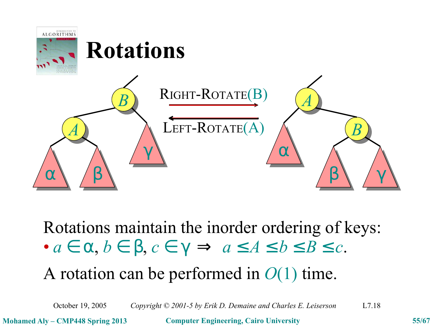

Rotations maintain the inorder ordering of keys:  $\bullet$   $a \in \alpha$ ,  $b \in \beta$ ,  $c \in \gamma \Rightarrow a \leq A \leq b \leq B \leq c$ .

A rotation can be performed in *O*(1) time.

October 19, 2005 *Copyright © 2001-5 by Erik D. Demaine and Charles E. Leiserson* L7.18

**Mohamed Aly – CMP448 Spring 2013 Computer Engineering, Cairo University 55/67**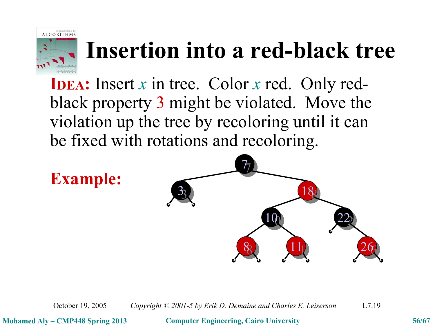

**IDEA:** Insert *x* in tree. Color *x* red. Only redblack property 3 might be violated. Move the violation up the tree by recoloring until it can be fixed with rotations and recoloring.



October 19, 2005 *Copyright © 2001-5 by Erik D. Demaine and Charles E. Leiserson* L7.19

**Mohamed Aly – CMP448 Spring 2013 Computer Engineering, Cairo University 56/67**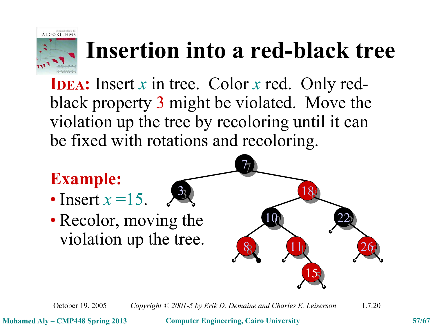

**IDEA:** Insert *x* in tree. Color *x* red. Only redblack property 3 might be violated. Move the violation up the tree by recoloring until it can be fixed with rotations and recoloring.

#### **Example:** • Insert  $x = 15$ . • Recolor, moving the 8 11 100 8 26 22  $\overline{\mathcal{T}}$ 15  $\frac{1}{2}$ 3 violation up the tree.

October 19, 2005 *Copyright © 2001-5 by Erik D. Demaine and Charles E. Leiserson* L7.20

**Mohamed Aly – CMP448 Spring 2013 Computer Engineering, Cairo University 57/67**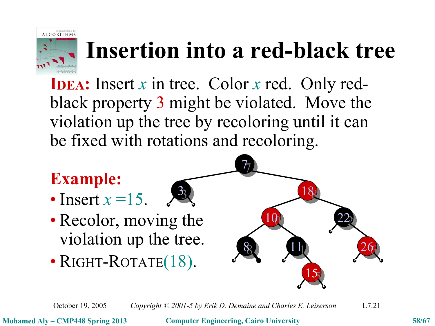

**IDEA:** Insert *x* in tree. Color *x* red. Only redblack property 3 might be violated. Move the violation up the tree by recoloring until it can be fixed with rotations and recoloring.

> $\frac{1}{2}$ 3

### **Example:**

- Insert  $x = 15$ .
- Recolor, moving the violation up the tree.
- RIGHT-ROTATE(18).



October 19, 2005 *Copyright © 2001-5 by Erik D. Demaine and Charles E. Leiserson* L7.21

**Mohamed Aly – CMP448 Spring 2013 Computer Engineering, Cairo University 58/67**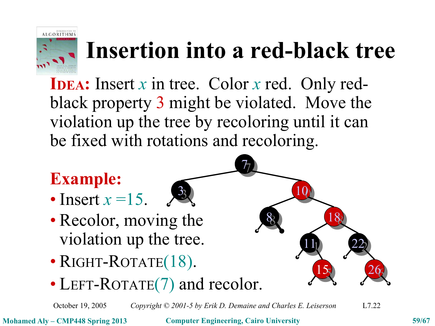

 $\overline{\mathcal{T}}$ 

**IDEA:** Insert *x* in tree. Color *x* red. Only redblack property 3 might be violated. Move the violation up the tree by recoloring until it can be fixed with rotations and recoloring.

> $\frac{1}{2}$ 3

### **Example:**

- Insert  $x = 15$ .
- Recolor, moving the violation up the tree.
- RIGHT-ROTATE(18).
- LEFT-ROTATE(7) and recolor.

October 19, 2005 *Copyright © 2001-5 by Erik D. Demaine and Charles E. Leiserson* L7.22

**Mohamed Aly – CMP448 Spring 2013 Computer Engineering, Cairo University 59/67**

88

111

15 15

188

 $266$ 26

22

10 10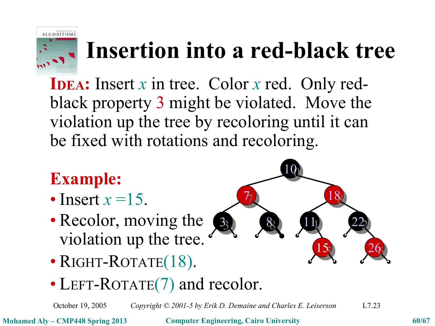

**IDEA:** Insert *x* in tree. Color *x* red. Only redblack property 3 might be violated. Move the violation up the tree by recoloring until it can be fixed with rotations and recoloring.

### **Example:**

- Insert  $x = 15$ .
- Recolor, moving the violation up the tree.
- RIGHT-ROTATE(18).
- LEFT-ROTATE(7) and recolor.

October 19, 2005 *Copyright © 2001-5 by Erik D. Demaine and Charles E. Leiserson* L7.23

**Mohamed Aly – CMP448 Spring 2013 Computer Engineering, Cairo University 60/67**

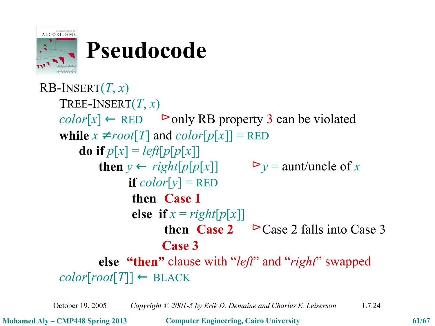

### **Pseudocode**

RB-INSERT(*T*, *x*) TREE-INSERT(*T*, *x*)  $color[x] \leftarrow$  RED  $\triangleright$  only RB property 3 can be violated **while**  $x \neq root[T]$  and  $color[p[x]] = RED$ **do if**  $p[x] = left[p[x]]$ **then** *y* ← *right*[*p*[*p*[*x*]]  $\rightharpoonup$  *y* = aunt/uncle of *x* **if**  $color[y] = RED$ **then** 〈**Case 1**〉 **else if**  $x = right[p[x]]$ **then**  $\langle$ **Case** 2  $\rangle$  ► Case 2 falls into Case 3 〈**Case 3**〉 **else** 〈**"then"** clause with "*left*" and "*right*" swapped〉  $color[root[T]] \leftarrow \text{Black}$ 

October 19, 2005 *Copyright © 2001-5 by Erik D. Demaine and Charles E. Leiserson* L7.24

**Mohamed Aly – CMP448 Spring 2013 Computer Engineering, Cairo University 61/67**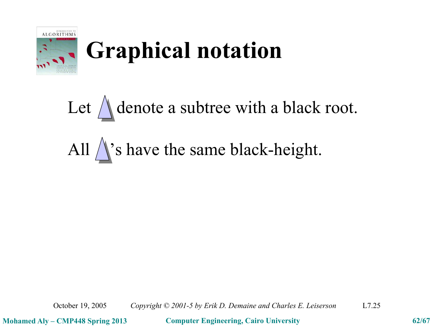

## **Graphical notation**

Let  $\bigwedge$  denote a subtree with a black root. All  $\bigwedge$ 's have the same black-height.

October 19, 2005 *Copyright © 2001-5 by Erik D. Demaine and Charles E. Leiserson* L7.25

**Mohamed Aly – CMP448 Spring 2013 Computer Engineering, Cairo University 62/67**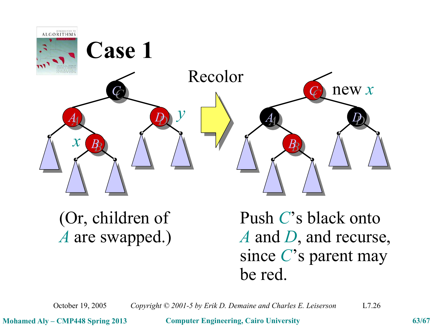

(Or, children of Push *C*'s black onto *A* are swapped.) *A* and *D*, and recurse, since *C*'s parent may be red.

October 19, 2005 *Copyright © 2001-5 by Erik D. Demaine and Charles E. Leiserson* L7.26

**Mohamed Aly – CMP448 Spring 2013 Computer Engineering, Cairo University 63/67**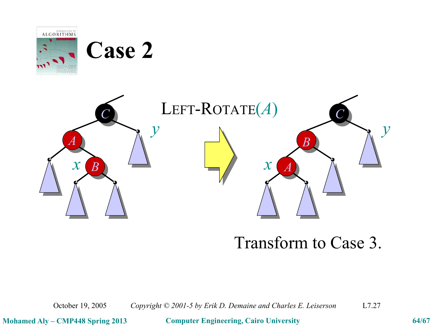

### Transform to Case 3.

October 19, 2005 *Copyright © 2001-5 by Erik D. Demaine and Charles E. Leiserson* L7.27

**Mohamed Aly – CMP448 Spring 2013 Computer Engineering, Cairo University 64/67**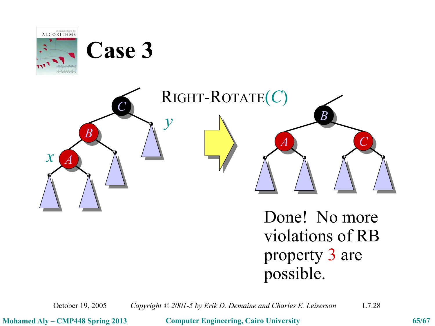

October 19, 2005 *Copyright © 2001-5 by Erik D. Demaine and Charles E. Leiserson* L7.28

**Mohamed Aly – CMP448 Spring 2013 Computer Engineering, Cairo University 65/67**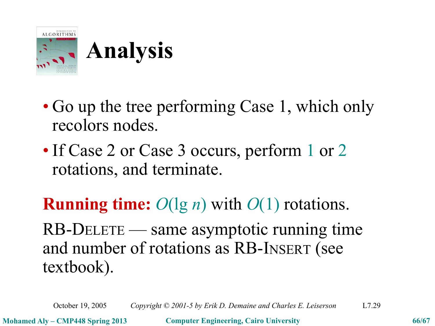

- Go up the tree performing Case 1, which only recolors nodes.
- If Case 2 or Case 3 occurs, perform 1 or 2 rotations, and terminate.

**Running time:** *O*(lg *n*) with *O*(1) rotations.

RB-DELETE — same asymptotic running time and number of rotations as RB-INSERT (see textbook).

October 19, 2005 *Copyright © 2001-5 by Erik D. Demaine and Charles E. Leiserson* L7.29

**Mohamed Aly – CMP448 Spring 2013 Computer Engineering, Cairo University 66/67**